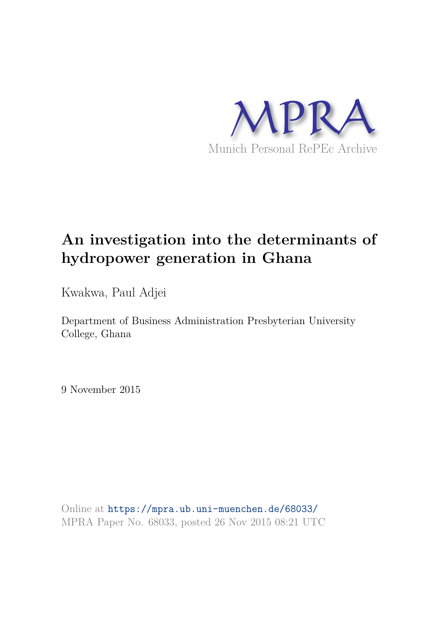

# **An investigation into the determinants of hydropower generation in Ghana**

Kwakwa, Paul Adjei

Department of Business Administration Presbyterian University College, Ghana

9 November 2015

Online at https://mpra.ub.uni-muenchen.de/68033/ MPRA Paper No. 68033, posted 26 Nov 2015 08:21 UTC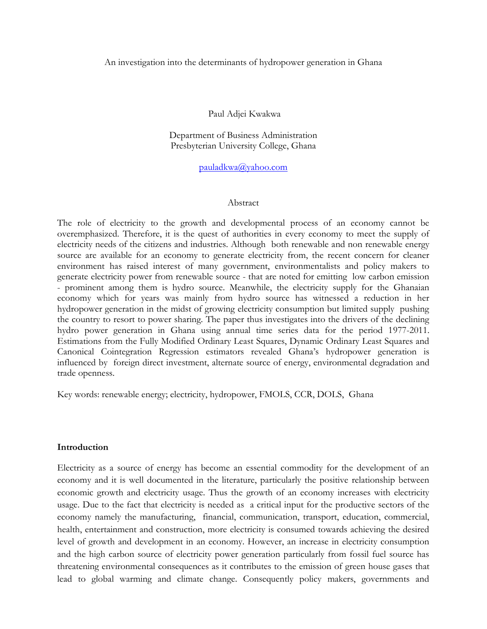#### An investigation into the determinants of hydropower generation in Ghana

Paul Adjei Kwakwa

Department of Business Administration Presbyterian University College, Ghana

[pauladkwa@yahoo.com](mailto:pauladkwa@yahoo.com) 

#### Abstract

The role of electricity to the growth and developmental process of an economy cannot be overemphasized. Therefore, it is the quest of authorities in every economy to meet the supply of electricity needs of the citizens and industries. Although both renewable and non renewable energy source are available for an economy to generate electricity from, the recent concern for cleaner environment has raised interest of many government, environmentalists and policy makers to generate electricity power from renewable source - that are noted for emitting low carbon emission - prominent among them is hydro source. Meanwhile, the electricity supply for the Ghanaian economy which for years was mainly from hydro source has witnessed a reduction in her hydropower generation in the midst of growing electricity consumption but limited supply pushing the country to resort to power sharing. The paper thus investigates into the drivers of the declining hydro power generation in Ghana using annual time series data for the period 1977-2011. Estimations from the Fully Modified Ordinary Least Squares, Dynamic Ordinary Least Squares and Canonical Cointegration Regression estimators revealed Ghana's hydropower generation is influenced by foreign direct investment, alternate source of energy, environmental degradation and trade openness.

Key words: renewable energy; electricity, hydropower, FMOLS, CCR, DOLS, Ghana

#### **Introduction**

Electricity as a source of energy has become an essential commodity for the development of an economy and it is well documented in the literature, particularly the positive relationship between economic growth and electricity usage. Thus the growth of an economy increases with electricity usage. Due to the fact that electricity is needed as a critical input for the productive sectors of the economy namely the manufacturing, financial, communication, transport, education, commercial, health, entertainment and construction, more electricity is consumed towards achieving the desired level of growth and development in an economy. However, an increase in electricity consumption and the high carbon source of electricity power generation particularly from fossil fuel source has threatening environmental consequences as it contributes to the emission of green house gases that lead to global warming and climate change. Consequently policy makers, governments and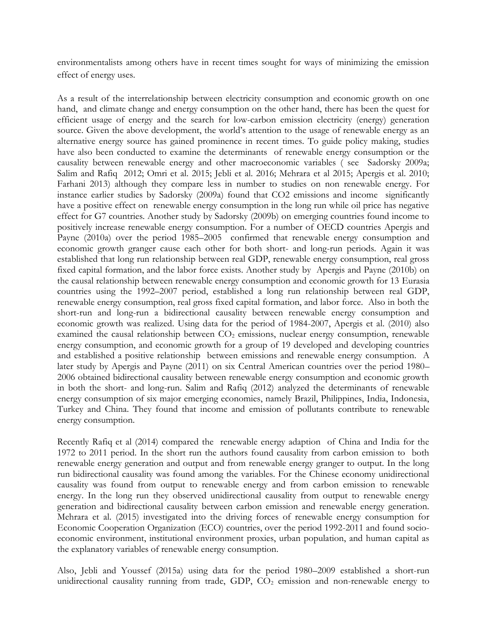environmentalists among others have in recent times sought for ways of minimizing the emission effect of energy uses.

As a result of the interrelationship between electricity consumption and economic growth on one hand, and climate change and energy consumption on the other hand, there has been the quest for efficient usage of energy and the search for low-carbon emission electricity (energy) generation source. Given the above development, the world's attention to the usage of renewable energy as an alternative energy source has gained prominence in recent times. To guide policy making, studies have also been conducted to examine the determinants of renewable energy consumption or the causality between renewable energy and other macroeconomic variables ( see Sadorsky 2009a; Salim and Rafiq 2012; Omri et al. 2015; Jebli et al. 2016; Mehrara et al 2015; Apergis et al. 2010; Farhani 2013) although they compare less in number to studies on non renewable energy. For instance earlier studies by Sadorsky (2009a) found that CO2 emissions and income significantly have a positive effect on renewable energy consumption in the long run while oil price has negative effect for G7 countries. Another study by Sadorsky (2009b) on emerging countries found income to positively increase renewable energy consumption. For a number of OECD countries Apergis and Payne (2010a) over the period 1985–2005 confirmed that renewable energy consumption and economic growth granger cause each other for both short- and long-run periods. Again it was established that long run relationship between real GDP, renewable energy consumption, real gross fixed capital formation, and the labor force exists. Another study by Apergis and Payne (2010b) on the causal relationship between renewable energy consumption and economic growth for 13 Eurasia countries using the 1992–2007 period, established a long run relationship between real GDP, renewable energy consumption, real gross fixed capital formation, and labor force. Also in both the short-run and long-run a bidirectional causality between renewable energy consumption and economic growth was realized. Using data for the period of 1984-2007, Apergis et al. (2010) also examined the causal relationship between  $CO<sub>2</sub>$  emissions, nuclear energy consumption, renewable energy consumption, and economic growth for a group of 19 developed and developing countries and established a positive relationship between emissions and renewable energy consumption. A later study by Apergis and Payne (2011) on six Central American countries over the period 1980– 2006 obtained bidirectional causality between renewable energy consumption and economic growth in both the short- and long-run. Salim and Rafiq (2012) analyzed the determinants of renewable energy consumption of six major emerging economies, namely Brazil, Philippines, India, Indonesia, Turkey and China. They found that income and emission of pollutants contribute to renewable energy consumption.

Recently Rafiq et al (2014) compared the renewable energy adaption of China and India for the 1972 to 2011 period. In the short run the authors found causality from carbon emission to both renewable energy generation and output and from renewable energy granger to output. In the long run bidirectional causality was found among the variables. For the Chinese economy unidirectional causality was found from output to renewable energy and from carbon emission to renewable energy. In the long run they observed unidirectional causality from output to renewable energy generation and bidirectional causality between carbon emission and renewable energy generation. Mehrara et al. (2015) investigated into the driving forces of renewable energy consumption for Economic Cooperation Organization (ECO) countries, over the period 1992-2011 and found socioeconomic environment, institutional environment proxies, urban population, and human capital as the explanatory variables of renewable energy consumption.

Also, Jebli and Youssef (2015a) using data for the period 1980–2009 established a short-run unidirectional causality running from trade, GDP,  $CO<sub>2</sub>$  emission and non-renewable energy to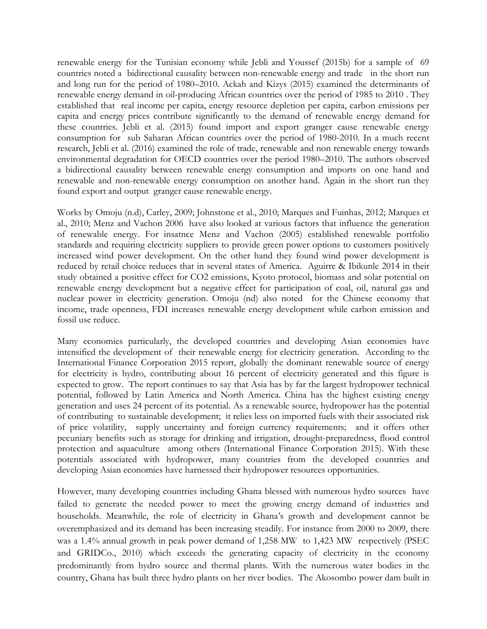renewable energy for the Tunisian economy while Jebli and Youssef (2015b) for a sample of 69 countries noted a bidirectional causality between non-renewable energy and trade in the short run and long run for the period of 1980–2010. Ackah and Kizys (2015) examined the determinants of renewable energy demand in oil-producing African countries over the period of 1985 to 2010 . They established that real income per capita, energy resource depletion per capita, carbon emissions per capita and energy prices contribute significantly to the demand of renewable energy demand for these countries. Jebli et al. (2015) found import and export granger cause renewable energy consumption for sub Saharan African countries over the period of 1980-2010. In a much recent research, Jebli et al. (2016) examined the role of trade, renewable and non renewable energy towards environmental degradation for OECD countries over the period 1980–2010. The authors observed a bidirectional causality between renewable energy consumption and imports on one hand and renewable and non-renewable energy consumption on another hand. Again in the short run they found export and output granger cause renewable energy.

Works by Omoju (n.d), Carley, 2009; Johnstone et al., 2010; Marques and Fuinhas, 2012; Marques et al., 2010; Menz and Vachon 2006 have also looked at various factors that influence the generation of renewable energy. For insatnce Menz and Vachon (2005) established renewable portfolio standards and requiring electricity suppliers to provide green power options to customers positively increased wind power development. On the other hand they found wind power development is reduced by retail choice reduces that in several states of America. Aguirre & Ibikunle 2014 in their study obtained a positive effect for CO2 emissions, Kyoto protocol, biomass and solar potential on renewable energy development but a negative effect for participation of coal, oil, natural gas and nuclear power in electricity generation. Omoju (nd) also noted for the Chinese economy that income, trade openness, FDI increases renewable energy development while carbon emission and fossil use reduce.

Many economies particularly, the developed countries and developing Asian economies have intensified the development of their renewable energy for electricity generation. According to the International Finance Corporation 2015 report, globally the dominant renewable source of energy for electricity is hydro, contributing about 16 percent of electricity generated and this figure is expected to grow. The report continues to say that Asia has by far the largest hydropower technical potential, followed by Latin America and North America. China has the highest existing energy generation and uses 24 percent of its potential. As a renewable source, hydropower has the potential of contributing to sustainable development; it relies less on imported fuels with their associated risk of price volatility, supply uncertainty and foreign currency requirements; and it offers other pecuniary benefits such as storage for drinking and irrigation, drought-preparedness, flood control protection and aquaculture among others (International Finance Corporation 2015). With these potentials associated with hydropower, many countries from the developed countries and developing Asian economies have harnessed their hydropower resources opportunities.

However, many developing countries including Ghana blessed with numerous hydro sources have failed to generate the needed power to meet the growing energy demand of industries and households. Meanwhile, the role of electricity in Ghana's growth and development cannot be overemphasized and its demand has been increasing steadily. For instance from 2000 to 2009, there was a 1.4% annual growth in peak power demand of 1,258 MW to 1,423 MW respectively (PSEC and GRIDCo., 2010) which exceeds the generating capacity of electricity in the economy predominantly from hydro source and thermal plants. With the numerous water bodies in the country, Ghana has built three hydro plants on her river bodies. The Akosombo power dam built in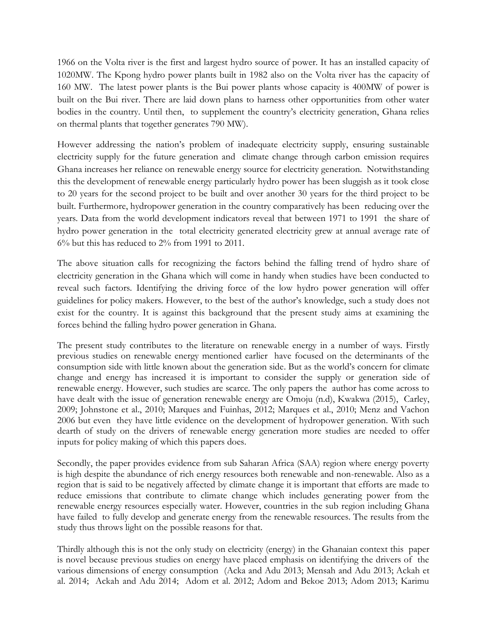1966 on the Volta river is the first and largest hydro source of power. It has an installed capacity of 1020MW. The Kpong hydro power plants built in 1982 also on the Volta river has the capacity of 160 MW. The latest power plants is the Bui power plants whose capacity is 400MW of power is built on the Bui river. There are laid down plans to harness other opportunities from other water bodies in the country. Until then, to supplement the country's electricity generation, Ghana relies on thermal plants that together generates 790 MW).

However addressing the nation's problem of inadequate electricity supply, ensuring sustainable electricity supply for the future generation and climate change through carbon emission requires Ghana increases her reliance on renewable energy source for electricity generation. Notwithstanding this the development of renewable energy particularly hydro power has been sluggish as it took close to 20 years for the second project to be built and over another 30 years for the third project to be built. Furthermore, hydropower generation in the country comparatively has been reducing over the years. Data from the world development indicators reveal that between 1971 to 1991 the share of hydro power generation in the total electricity generated electricity grew at annual average rate of 6% but this has reduced to 2% from 1991 to 2011.

The above situation calls for recognizing the factors behind the falling trend of hydro share of electricity generation in the Ghana which will come in handy when studies have been conducted to reveal such factors. Identifying the driving force of the low hydro power generation will offer guidelines for policy makers. However, to the best of the author's knowledge, such a study does not exist for the country. It is against this background that the present study aims at examining the forces behind the falling hydro power generation in Ghana.

The present study contributes to the literature on renewable energy in a number of ways. Firstly previous studies on renewable energy mentioned earlier have focused on the determinants of the consumption side with little known about the generation side. But as the world's concern for climate change and energy has increased it is important to consider the supply or generation side of renewable energy. However, such studies are scarce. The only papers the author has come across to have dealt with the issue of generation renewable energy are Omoju (n.d), Kwakwa (2015), Carley, 2009; Johnstone et al., 2010; Marques and Fuinhas, 2012; Marques et al., 2010; Menz and Vachon 2006 but even they have little evidence on the development of hydropower generation. With such dearth of study on the drivers of renewable energy generation more studies are needed to offer inputs for policy making of which this papers does.

Secondly, the paper provides evidence from sub Saharan Africa (SAA) region where energy poverty is high despite the abundance of rich energy resources both renewable and non-renewable. Also as a region that is said to be negatively affected by climate change it is important that efforts are made to reduce emissions that contribute to climate change which includes generating power from the renewable energy resources especially water. However, countries in the sub region including Ghana have failed to fully develop and generate energy from the renewable resources. The results from the study thus throws light on the possible reasons for that.

Thirdly although this is not the only study on electricity (energy) in the Ghanaian context this paper is novel because previous studies on energy have placed emphasis on identifying the drivers of the various dimensions of energy consumption (Acka and Adu 2013; Mensah and Adu 2013; Ackah et al. 2014; Ackah and Adu 2014; Adom et al. 2012; Adom and Bekoe 2013; Adom 2013; Karimu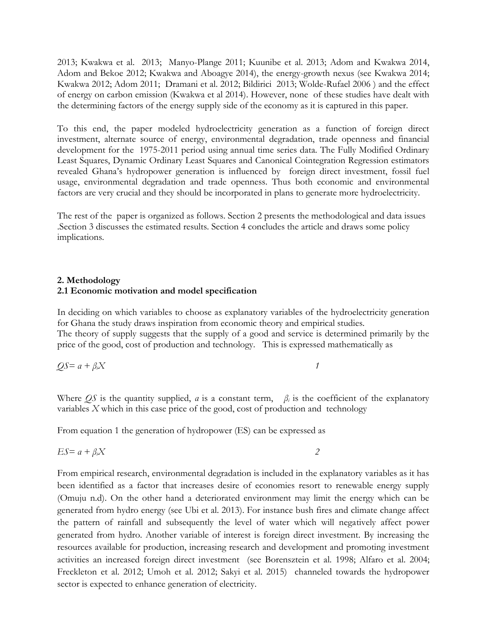2013; Kwakwa et al. 2013; Manyo-Plange 2011; Kuunibe et al. 2013; Adom and Kwakwa 2014, Adom and Bekoe 2012; Kwakwa and Aboagye 2014), the energy-growth nexus (see Kwakwa 2014; Kwakwa 2012; Adom 2011; Dramani et al. 2012; Bildirici 2013; Wolde-Rufael 2006 ) and the effect of energy on carbon emission (Kwakwa et al 2014). However, none of these studies have dealt with the determining factors of the energy supply side of the economy as it is captured in this paper.

To this end, the paper modeled hydroelectricity generation as a function of foreign direct investment, alternate source of energy, environmental degradation, trade openness and financial development for the 1975-2011 period using annual time series data. The Fully Modified Ordinary Least Squares, Dynamic Ordinary Least Squares and Canonical Cointegration Regression estimators revealed Ghana's hydropower generation is influenced by foreign direct investment, fossil fuel usage, environmental degradation and trade openness. Thus both economic and environmental factors are very crucial and they should be incorporated in plans to generate more hydroelectricity.

The rest of the paper is organized as follows. Section 2 presents the methodological and data issues .Section 3 discusses the estimated results. Section 4 concludes the article and draws some policy implications.

## **2. Methodology 2.1 Economic motivation and model specification**

In deciding on which variables to choose as explanatory variables of the hydroelectricity generation for Ghana the study draws inspiration from economic theory and empirical studies. The theory of supply suggests that the supply of a good and service is determined primarily by the price of the good, cost of production and technology. This is expressed mathematically as

$$
QS = a + \beta_i X \tag{1}
$$

Where  $\overline{QS}$  is the quantity supplied, *a* is a constant term,  $\beta_i$  is the coefficient of the explanatory variables *X* which in this case price of the good, cost of production and technology

From equation 1 the generation of hydropower (ES) can be expressed as

$$
ES = a + \beta_i X \tag{2}
$$

From empirical research, environmental degradation is included in the explanatory variables as it has been identified as a factor that increases desire of economies resort to renewable energy supply (Omuju n.d). On the other hand a deteriorated environment may limit the energy which can be generated from hydro energy (see Ubi et al. 2013). For instance bush fires and climate change affect the pattern of rainfall and subsequently the level of water which will negatively affect power generated from hydro. Another variable of interest is foreign direct investment. By increasing the resources available for production, increasing research and development and promoting investment activities an increased foreign direct investment (see Borensztein et al. 1998; Alfaro et al. 2004; Freckleton et al. 2012; Umoh et al. 2012; Sakyi et al. 2015) channeled towards the hydropower sector is expected to enhance generation of electricity.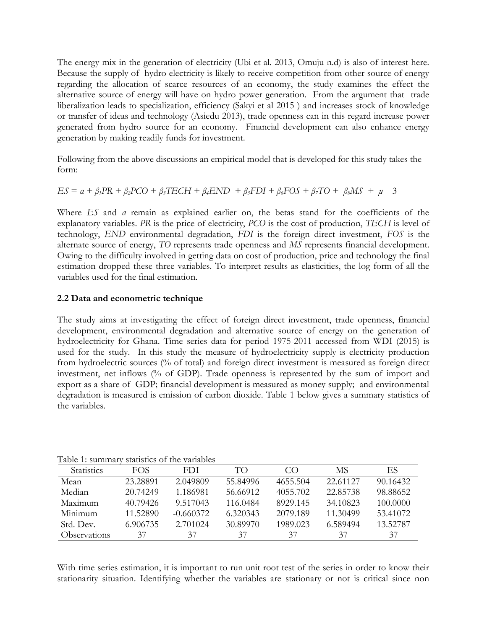The energy mix in the generation of electricity (Ubi et al. 2013, Omuju n.d) is also of interest here. Because the supply of hydro electricity is likely to receive competition from other source of energy regarding the allocation of scarce resources of an economy, the study examines the effect the alternative source of energy will have on hydro power generation. From the argument that trade liberalization leads to specialization, efficiency (Sakyi et al 2015 ) and increases stock of knowledge or transfer of ideas and technology (Asiedu 2013), trade openness can in this regard increase power generated from hydro source for an economy. Financial development can also enhance energy generation by making readily funds for investment.

Following from the above discussions an empirical model that is developed for this study takes the form:

$$
ES = a + \beta_1 PR + \beta_2 PCO + \beta_3 TECH + \beta_4 END + \beta_5 FDI + \beta_6 FOS + \beta_7 TO + \beta_8 MS + \mu
$$
 3

Where *ES* and *a* remain as explained earlier on, the betas stand for the coefficients of the explanatory variables. *PR* is the price of electricity, *PCO* is the cost of production, *TECH* is level of technology, *END* environmental degradation, *FDI* is the foreign direct investment, *FOS* is the alternate source of energy, *TO* represents trade openness and *MS* represents financial development. Owing to the difficulty involved in getting data on cost of production, price and technology the final estimation dropped these three variables. To interpret results as elasticities, the log form of all the variables used for the final estimation.

# **2.2 Data and econometric technique**

The study aims at investigating the effect of foreign direct investment, trade openness, financial development, environmental degradation and alternative source of energy on the generation of hydroelectricity for Ghana. Time series data for period 1975-2011 accessed from WDI (2015) is used for the study. In this study the measure of hydroelectricity supply is electricity production from hydroelectric sources (% of total) and foreign direct investment is measured as foreign direct investment, net inflows (% of GDP). Trade openness is represented by the sum of import and export as a share of GDP; financial development is measured as money supply; and environmental degradation is measured is emission of carbon dioxide. Table 1 below gives a summary statistics of the variables.

| таріс т. бинініат<br>stausucs of the valiables |            |             |          |          |          |          |
|------------------------------------------------|------------|-------------|----------|----------|----------|----------|
| <b>Statistics</b>                              | <b>FOS</b> | FDI.        | TO.      | CO       | MS       | ES       |
| Mean                                           | 23.28891   | 2.049809    | 55.84996 | 4655.504 | 22.61127 | 90.16432 |
| Median                                         | 20.74249   | 1.186981    | 56.66912 | 4055.702 | 22.85738 | 98.88652 |
| Maximum                                        | 40.79426   | 9.517043    | 116.0484 | 8929.145 | 34.10823 | 100.0000 |
| Minimum                                        | 11.52890   | $-0.660372$ | 6.320343 | 2079.189 | 11.30499 | 53.41072 |
| Std. Dev.                                      | 6.906735   | 2.701024    | 30.89970 | 1989.023 | 6.589494 | 13.52787 |
| Observations                                   | 37         | 37          | 37       | 37       | 37       | 37       |

Table 1: summary statistics of the variables

With time series estimation, it is important to run unit root test of the series in order to know their stationarity situation. Identifying whether the variables are stationary or not is critical since non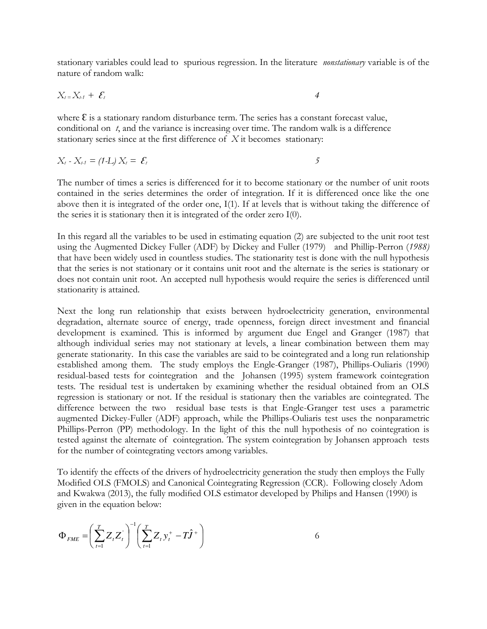stationary variables could lead to spurious regression. In the literature *nonstationary* variable is of the nature of random walk:

$$
X_{t}=X_{t-1}+\mathcal{E}_{t}
$$

where  $\epsilon$  is a stationary random disturbance term. The series has a constant forecast value, conditional on *t*, and the variance is increasing over time. The random walk is a difference stationary series since at the first difference of *X* it becomes stationary:

$$
X_t - X_{t-1} = (1-L) X_t = \mathcal{E}_t
$$

The number of times a series is differenced for it to become stationary or the number of unit roots contained in the series determines the order of integration. If it is differenced once like the one above then it is integrated of the order one, I(1). If at levels that is without taking the difference of the series it is stationary then it is integrated of the order zero I(0).

In this regard all the variables to be used in estimating equation (2) are subjected to the unit root test using the Augmented Dickey Fuller (ADF) by Dickey and Fuller (1979) and Phillip-Perron (*1988)*  that have been widely used in countless studies. The stationarity test is done with the null hypothesis that the series is not stationary or it contains unit root and the alternate is the series is stationary or does not contain unit root. An accepted null hypothesis would require the series is differenced until stationarity is attained.

Next the long run relationship that exists between hydroelectricity generation, environmental degradation, alternate source of energy, trade openness, foreign direct investment and financial development is examined. This is informed by argument due Engel and Granger (1987) that although individual series may not stationary at levels, a linear combination between them may generate stationarity. In this case the variables are said to be cointegrated and a long run relationship established among them. The study employs the Engle-Granger (1987), Phillips-Ouliaris (1990) residual-based tests for cointegration and the Johansen (1995) system framework cointegration tests. The residual test is undertaken by examining whether the residual obtained from an OLS regression is stationary or not. If the residual is stationary then the variables are cointegrated. The difference between the two residual base tests is that Engle-Granger test uses a parametric augmented Dickey-Fuller (ADF) approach, while the Phillips-Ouliaris test uses the nonparametric Phillips-Perron (PP) methodology. In the light of this the null hypothesis of no cointegration is tested against the alternate of cointegration. The system cointegration by Johansen approach tests for the number of cointegrating vectors among variables.

To identify the effects of the drivers of hydroelectricity generation the study then employs the Fully Modified OLS (FMOLS) and Canonical Cointegrating Regression (CCR). Following closely Adom and Kwakwa (2013), the fully modified OLS estimator developed by Philips and Hansen (1990) is given in the equation below:

$$
\Phi_{FME} = \left(\sum_{t=1}^{T} Z_t Z_t\right)^{-1} \left(\sum_{t=1}^{T} Z_t y_t^+ - T \hat{J}^+\right)
$$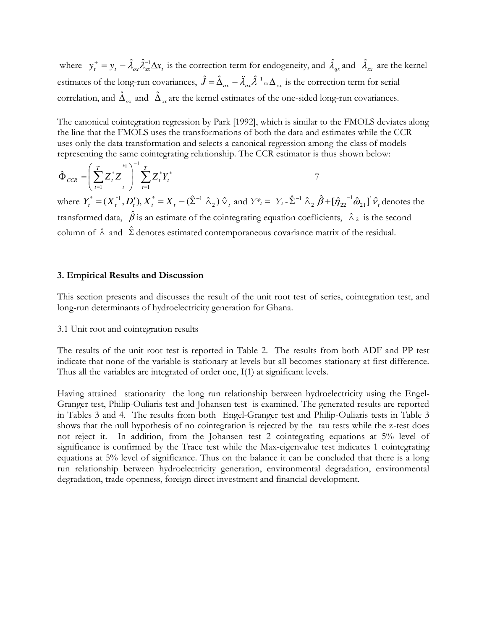where  $y_t^+ = y_t - \hat{\lambda}_{ox} \hat{\lambda}_{xx}^{-1} \Delta x_t$  is the correction term for endogeneity, and  $\hat{\lambda}_{gx}$  and  $\hat{\lambda}_{xx}$  are the kernel estimates of the long-run covariances,  $\hat{J} = \hat{\Delta}_{ox} - \ddot{\lambda}_{ox} \hat{\lambda}^{-1}_{xx} \Delta_{xx}$  is the correction term for serial correlation, and  $\hat{\Delta}_{ox}$  and  $\hat{\Delta}_{xc}$  are the kernel estimates of the one-sided long-run covariances.

The canonical cointegration regression by Park [1992], which is similar to the FMOLS deviates along the line that the FMOLS uses the transformations of both the data and estimates while the CCR uses only the data transformation and selects a canonical regression among the class of models representing the same cointegrating relationship. The CCR estimator is thus shown below:

$$
\hat{\Phi}_{CCR} = \left(\sum_{t=1}^{T} Z_t^* Z_t^* \right)^{-1} \sum_{t=1}^{T} Z_t^* Y_t^*
$$
\n
$$
\mathbf{V} = \begin{pmatrix} \n\sum_{t=1}^{T} Z_t^* Z_t^* & \n\end{pmatrix}
$$
\n
$$
\mathbf{V} = \begin{pmatrix} \n\sum_{t=1}^{T} Z_t^* Y_t^* & \n\end{pmatrix}
$$
\n
$$
\mathbf{V} = \begin{pmatrix} \n\sum_{t=1}^{T} \mathbf{V} X_t^* & \n\end{pmatrix}
$$
\n
$$
\mathbf{V} = \begin{pmatrix} \n\sum_{t=1}^{T} \mathbf{V} X_t^* & \n\end{pmatrix}
$$

where  $Y_t^* = (X_t^{*1}, D_t'), X_t^* = X_t - (\hat{\Sigma}^{-1} \hat{\wedge}_2) \hat{\vee}_t$  $f^* = (X_t^{*1}, D_t'), X_t^* = X_t - (\hat{\Sigma}^{-1} \hat{\wedge}_2) \hat{\vee}_t$  and  $Y^* = Y_t - \hat{\Sigma}^{-1} \hat{\wedge}_2 \hat{\beta} + [\hat{\eta}_{22}^{-1} \hat{\omega}_{21}] \hat{\vee}_t$  $2$  P  $\pm$  1/22  $\hat{\Sigma}^{-1} \hat{\wedge}_2 \hat{\beta} + [\hat{\eta}_{22}^{-1} \hat{\omega}_{21}] \hat{\nu}_t$  denotes the transformed data,  $\hat{\beta}$  is an estimate of the cointegrating equation coefficients,  $\hat{\lambda}_2$  is the second column of  $\hat{\wedge}$  and  $\hat{\Sigma}$  denotes estimated contemporaneous covariance matrix of the residual.

#### **3. Empirical Results and Discussion**

This section presents and discusses the result of the unit root test of series, cointegration test, and long-run determinants of hydroelectricity generation for Ghana.

## 3.1 Unit root and cointegration results

The results of the unit root test is reported in Table 2. The results from both ADF and PP test indicate that none of the variable is stationary at levels but all becomes stationary at first difference. Thus all the variables are integrated of order one, I(1) at significant levels.

Having attained stationarity the long run relationship between hydroelectricity using the Engel-Granger test, Philip-Ouliaris test and Johansen test is examined. The generated results are reported in Tables 3 and 4. The results from both Engel-Granger test and Philip-Ouliaris tests in Table 3 shows that the null hypothesis of no cointegration is rejected by the tau tests while the z-test does not reject it. In addition, from the Johansen test 2 cointegrating equations at 5% level of significance is confirmed by the Trace test while the Max-eigenvalue test indicates 1 cointegrating equations at 5% level of significance. Thus on the balance it can be concluded that there is a long run relationship between hydroelectricity generation, environmental degradation, environmental degradation, trade openness, foreign direct investment and financial development.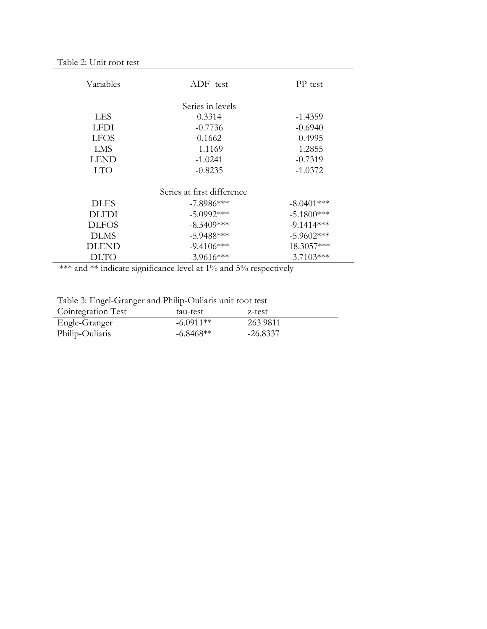| Variables    | ADF-test                   | PP-test      |
|--------------|----------------------------|--------------|
|              |                            |              |
|              | Series in levels           |              |
| <b>LES</b>   | 0.3314                     | $-1.4359$    |
| LFDI         | $-0.7736$                  | $-0.6940$    |
| <b>LFOS</b>  | 0.1662                     | $-0.4995$    |
| LMS          | $-1.1169$                  | $-1.2855$    |
| LEND         | $-1.0241$                  | $-0.7319$    |
| <b>LTO</b>   | $-0.8235$                  | $-1.0372$    |
|              |                            |              |
|              | Series at first difference |              |
| <b>DLES</b>  | $-7.8986***$               | $-8.0401***$ |
| <b>DLFDI</b> | $-5.0992***$               | $-5.1800***$ |
| <b>DLFOS</b> | $-8.3409***$               | $-9.1414***$ |
| <b>DLMS</b>  | $-5.9488***$               | $-5.9602***$ |
| DLEND        | $-9.4106***$               | 18.3057***   |
| DLTO         | $-3.9616***$               | $-3.7103***$ |

| Table 2: Unit root test |  |  |  |
|-------------------------|--|--|--|
|-------------------------|--|--|--|

\*\*\* and \*\* indicate significance level at 1% and 5% respectively

|  |  |  | Table 3: Engel-Granger and Philip-Ouliaris unit root test |  |
|--|--|--|-----------------------------------------------------------|--|
|  |  |  |                                                           |  |

| Cointegration Test | tau-test    | z-test     |
|--------------------|-------------|------------|
| Engle-Granger      | $-6.0911**$ | 263.9811   |
| Philip-Ouliaris    | $-6.8468**$ | $-26.8337$ |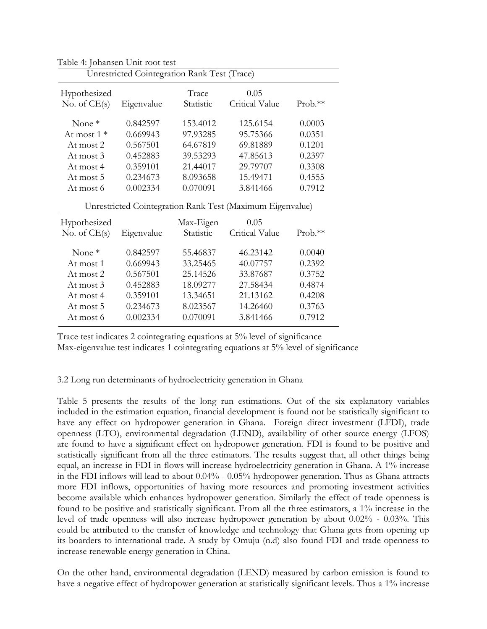| Unrestricted Cointegration Rank Test (Trace)              |            |                        |                |           |  |  |
|-----------------------------------------------------------|------------|------------------------|----------------|-----------|--|--|
| Hypothesized                                              |            | Trace                  | 0.05           |           |  |  |
| No. of $CE(s)$                                            | Eigenvalue | Statistic              | Critical Value | $Prob.**$ |  |  |
| None $*$                                                  | 0.842597   | 153.4012               | 125.6154       | 0.0003    |  |  |
| At most $1*$                                              | 0.669943   | 97.93285               | 95.75366       | 0.0351    |  |  |
| At most 2                                                 | 0.567501   | 64.67819               | 69.81889       | 0.1201    |  |  |
| At most 3                                                 | 0.452883   | 39.53293               | 47.85613       | 0.2397    |  |  |
| At most 4                                                 | 0.359101   | 21.44017               | 29.79707       | 0.3308    |  |  |
| At most 5                                                 | 0.234673   | 8.093658               | 15.49471       | 0.4555    |  |  |
| At most 6                                                 | 0.002334   | 0.070091               | 3.841466       | 0.7912    |  |  |
| Unrestricted Cointegration Rank Test (Maximum Eigenvalue) |            |                        |                |           |  |  |
|                                                           |            |                        |                |           |  |  |
|                                                           |            |                        | 0.05           |           |  |  |
| Hypothesized<br>No. of $CE(s)$                            | Eigenvalue | Max-Eigen<br>Statistic | Critical Value | $Prob.**$ |  |  |
| None $*$                                                  | 0.842597   | 55.46837               | 46.23142       | 0.0040    |  |  |
| At most 1                                                 | 0.669943   | 33.25465               | 40.07757       | 0.2392    |  |  |
| At most 2                                                 | 0.567501   | 25.14526               | 33.87687       | 0.3752    |  |  |
| At most 3                                                 | 0.452883   | 18.09277               | 27.58434       | 0.4874    |  |  |
| At most 4                                                 | 0.359101   | 13.34651               | 21.13162       | 0.4208    |  |  |
| At most 5                                                 | 0.234673   | 8.023567               | 14.26460       | 0.3763    |  |  |

Table 4: Johansen Unit root test

Trace test indicates 2 cointegrating equations at 5% level of significance Max-eigenvalue test indicates 1 cointegrating equations at 5% level of significance

## 3.2 Long run determinants of hydroelectricity generation in Ghana

Table 5 presents the results of the long run estimations. Out of the six explanatory variables included in the estimation equation, financial development is found not be statistically significant to have any effect on hydropower generation in Ghana. Foreign direct investment (LFDI), trade openness (LTO), environmental degradation (LEND), availability of other source energy (LFOS) are found to have a significant effect on hydropower generation. FDI is found to be positive and statistically significant from all the three estimators. The results suggest that, all other things being equal, an increase in FDI in flows will increase hydroelectricity generation in Ghana. A 1% increase in the FDI inflows will lead to about 0.04% - 0.05% hydropower generation. Thus as Ghana attracts more FDI inflows, opportunities of having more resources and promoting investment activities become available which enhances hydropower generation. Similarly the effect of trade openness is found to be positive and statistically significant. From all the three estimators, a 1% increase in the level of trade openness will also increase hydropower generation by about 0.02% - 0.03%. This could be attributed to the transfer of knowledge and technology that Ghana gets from opening up its boarders to international trade. A study by Omuju (n.d) also found FDI and trade openness to increase renewable energy generation in China.

On the other hand, environmental degradation (LEND) measured by carbon emission is found to have a negative effect of hydropower generation at statistically significant levels. Thus a 1% increase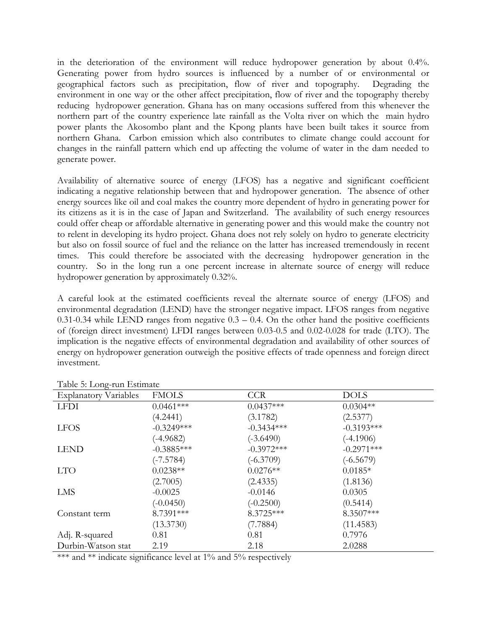in the deterioration of the environment will reduce hydropower generation by about 0.4%. Generating power from hydro sources is influenced by a number of or environmental or geographical factors such as precipitation, flow of river and topography. Degrading the environment in one way or the other affect precipitation, flow of river and the topography thereby reducing hydropower generation. Ghana has on many occasions suffered from this whenever the northern part of the country experience late rainfall as the Volta river on which the main hydro power plants the Akosombo plant and the Kpong plants have been built takes it source from northern Ghana. Carbon emission which also contributes to climate change could account for changes in the rainfall pattern which end up affecting the volume of water in the dam needed to generate power.

Availability of alternative source of energy (LFOS) has a negative and significant coefficient indicating a negative relationship between that and hydropower generation. The absence of other energy sources like oil and coal makes the country more dependent of hydro in generating power for its citizens as it is in the case of Japan and Switzerland. The availability of such energy resources could offer cheap or affordable alternative in generating power and this would make the country not to relent in developing its hydro project. Ghana does not rely solely on hydro to generate electricity but also on fossil source of fuel and the reliance on the latter has increased tremendously in recent times. This could therefore be associated with the decreasing hydropower generation in the country. So in the long run a one percent increase in alternate source of energy will reduce hydropower generation by approximately 0.32%.

A careful look at the estimated coefficients reveal the alternate source of energy (LFOS) and environmental degradation (LEND) have the stronger negative impact. LFOS ranges from negative 0.31-0.34 while LEND ranges from negative  $0.3 - 0.4$ . On the other hand the positive coefficients of (foreign direct investment) LFDI ranges between 0.03-0.5 and 0.02-0.028 for trade (LTO). The implication is the negative effects of environmental degradation and availability of other sources of energy on hydropower generation outweigh the positive effects of trade openness and foreign direct investment.

| rabic of Hong run Houndee    |              |              |              |  |  |  |
|------------------------------|--------------|--------------|--------------|--|--|--|
| <b>Explanatory Variables</b> | <b>FMOLS</b> | <b>CCR</b>   | <b>DOLS</b>  |  |  |  |
| <b>LFDI</b>                  | $0.0461***$  | $0.0437***$  | $0.0304**$   |  |  |  |
|                              | (4.2441)     | (3.1782)     | (2.5377)     |  |  |  |
| <b>LFOS</b>                  | $-0.3249***$ | $-0.3434***$ | $-0.3193***$ |  |  |  |
|                              | $(-4.9682)$  | $(-3.6490)$  | $(-4.1906)$  |  |  |  |
| <b>LEND</b>                  | $-0.3885***$ | $-0.3972***$ | $-0.2971***$ |  |  |  |
|                              | $(-7.5784)$  | $(-6.3709)$  | $(-6.5679)$  |  |  |  |
| <b>LTO</b>                   | $0.0238**$   | $0.0276**$   | $0.0185*$    |  |  |  |
|                              | (2.7005)     | (2.4335)     | (1.8136)     |  |  |  |
| LMS                          | $-0.0025$    | $-0.0146$    | 0.0305       |  |  |  |
|                              | $(-0.0450)$  | $(-0.2500)$  | (0.5414)     |  |  |  |
| Constant term                | 8.7391***    | 8.3725***    | 8.3507***    |  |  |  |
|                              | (13.3730)    | (7.7884)     | (11.4583)    |  |  |  |
| Adj. R-squared               | 0.81         | 0.81         | 0.7976       |  |  |  |
| Durbin-Watson stat           | 2.19         | 2.18         | 2.0288       |  |  |  |

Table 5: Long-run Estimate

\*\*\* and \*\* indicate significance level at  $1\%$  and  $5\%$  respectively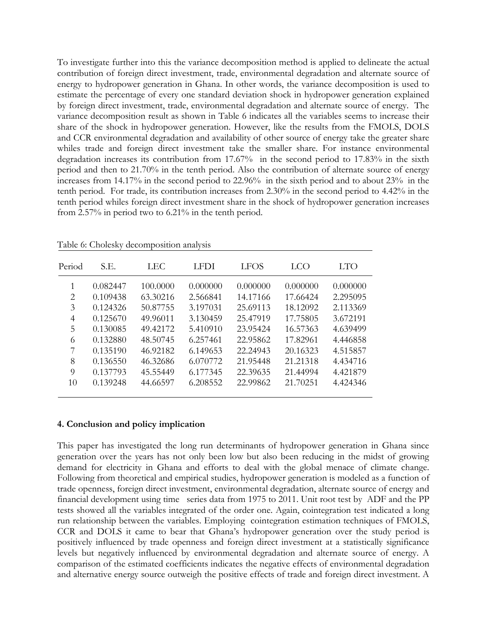To investigate further into this the variance decomposition method is applied to delineate the actual contribution of foreign direct investment, trade, environmental degradation and alternate source of energy to hydropower generation in Ghana. In other words, the variance decomposition is used to estimate the percentage of every one standard deviation shock in hydropower generation explained by foreign direct investment, trade, environmental degradation and alternate source of energy. The variance decomposition result as shown in Table 6 indicates all the variables seems to increase their share of the shock in hydropower generation. However, like the results from the FMOLS, DOLS and CCR environmental degradation and availability of other source of energy take the greater share whiles trade and foreign direct investment take the smaller share. For instance environmental degradation increases its contribution from 17.67% in the second period to 17.83% in the sixth period and then to 21.70% in the tenth period. Also the contribution of alternate source of energy increases from 14.17% in the second period to 22.96% in the sixth period and to about 23% in the tenth period. For trade, its contribution increases from 2.30% in the second period to 4.42% in the tenth period whiles foreign direct investment share in the shock of hydropower generation increases from 2.57% in period two to 6.21% in the tenth period.

| Period         | S.E.     | LEC      | LFDI     | <b>LFOS</b> | LCO      | LTO      |
|----------------|----------|----------|----------|-------------|----------|----------|
| 1              | 0.082447 | 100,0000 | 0.000000 | 0.000000    | 0.000000 | 0.000000 |
| 2              | 0.109438 | 63.30216 | 2.566841 | 14.17166    | 17.66424 | 2.295095 |
| 3              | 0.124326 | 50.87755 | 3.197031 | 25.69113    | 18.12092 | 2.113369 |
| $\overline{4}$ | 0.125670 | 49.96011 | 3.130459 | 25.47919    | 17.75805 | 3.672191 |
| 5              | 0.130085 | 49.42172 | 5.410910 | 23.95424    | 16.57363 | 4.639499 |
| 6              | 0.132880 | 48.50745 | 6.257461 | 22.95862    | 17.82961 | 4.446858 |
| 7              | 0.135190 | 46.92182 | 6.149653 | 22.24943    | 20.16323 | 4.515857 |
| 8              | 0.136550 | 46.32686 | 6.070772 | 21.95448    | 21.21318 | 4.434716 |
| 9              | 0.137793 | 45.55449 | 6.177345 | 22.39635    | 21.44994 | 4.421879 |
| 10             | 0.139248 | 44.66597 | 6.208552 | 22.99862    | 21.70251 | 4.424346 |

Table 6: Cholesky decomposition analysis

## **4. Conclusion and policy implication**

This paper has investigated the long run determinants of hydropower generation in Ghana since generation over the years has not only been low but also been reducing in the midst of growing demand for electricity in Ghana and efforts to deal with the global menace of climate change. Following from theoretical and empirical studies, hydropower generation is modeled as a function of trade openness, foreign direct investment, environmental degradation, alternate source of energy and financial development using time series data from 1975 to 2011. Unit root test by ADF and the PP tests showed all the variables integrated of the order one. Again, cointegration test indicated a long run relationship between the variables. Employing cointegration estimation techniques of FMOLS, CCR and DOLS it came to bear that Ghana's hydropower generation over the study period is positively influenced by trade openness and foreign direct investment at a statistically significance levels but negatively influenced by environmental degradation and alternate source of energy. A comparison of the estimated coefficients indicates the negative effects of environmental degradation and alternative energy source outweigh the positive effects of trade and foreign direct investment. A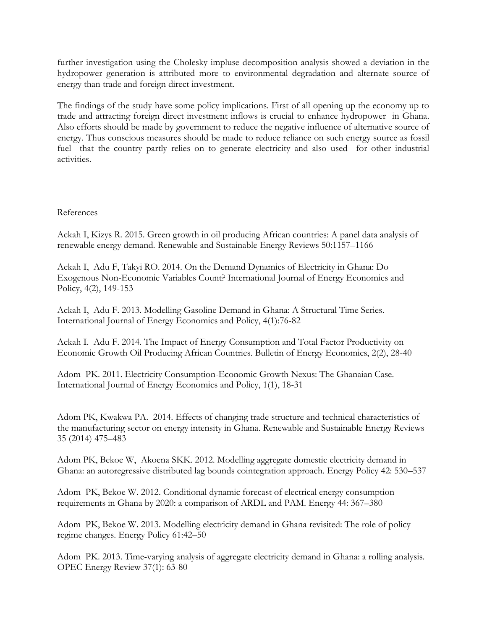further investigation using the Cholesky impluse decomposition analysis showed a deviation in the hydropower generation is attributed more to environmental degradation and alternate source of energy than trade and foreign direct investment.

The findings of the study have some policy implications. First of all opening up the economy up to trade and attracting foreign direct investment inflows is crucial to enhance hydropower in Ghana. Also efforts should be made by government to reduce the negative influence of alternative source of energy. Thus conscious measures should be made to reduce reliance on such energy source as fossil fuel that the country partly relies on to generate electricity and also used for other industrial activities.

# References

Ackah I, Kizys R. 2015. Green growth in oil producing African countries: A panel data analysis of renewable energy demand. Renewable and Sustainable Energy Reviews 50:1157–1166

Ackah I, Adu F, Takyi RO. 2014. On the Demand Dynamics of Electricity in Ghana: Do Exogenous Non-Economic Variables Count? International Journal of Energy Economics and Policy, 4(2), 149-153

Ackah I, Adu F. 2013. Modelling Gasoline Demand in Ghana: A Structural Time Series. International Journal of Energy Economics and Policy, 4(1):76-82

Ackah I. Adu F. 2014. The Impact of Energy Consumption and Total Factor Productivity on Economic Growth Oil Producing African Countries. Bulletin of Energy Economics, 2(2), 28-40

Adom PK. 2011. Electricity Consumption-Economic Growth Nexus: The Ghanaian Case. International Journal of Energy Economics and Policy, 1(1), 18-31

Adom PK, Kwakwa PA. 2014. Effects of changing trade structure and technical characteristics of the manufacturing sector on energy intensity in Ghana. Renewable and Sustainable Energy Reviews 35 (2014) 475–483

Adom PK, Bekoe W, Akoena SKK. 2012. Modelling aggregate domestic electricity demand in Ghana: an autoregressive distributed lag bounds cointegration approach. Energy Policy 42: 530–537

Adom PK, Bekoe W. 2012. Conditional dynamic forecast of electrical energy consumption requirements in Ghana by 2020: a comparison of ARDL and PAM. Energy 44: 367–380

Adom PK, Bekoe W. 2013. Modelling electricity demand in Ghana revisited: The role of policy regime changes. Energy Policy 61:42–50

Adom PK. 2013. Time-varying analysis of aggregate electricity demand in Ghana: a rolling analysis. OPEC Energy Review 37(1): 63-80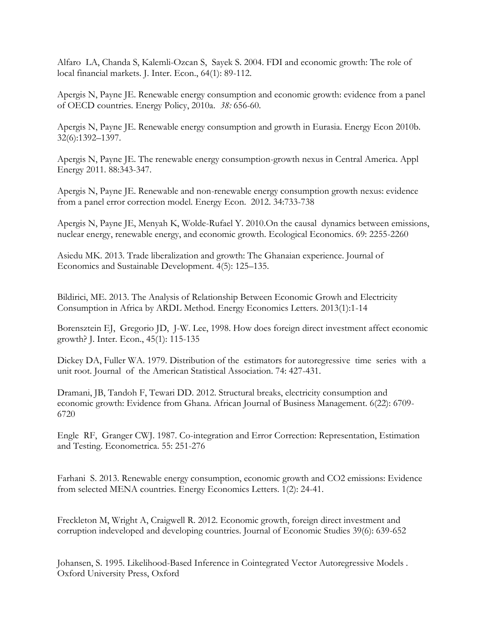Alfaro LA, Chanda S, Kalemli-Ozcan S, Sayek S. 2004. FDI and economic growth: The role of local financial markets. J. Inter. Econ., 64(1): 89-112.

Apergis N, Payne JE. Renewable energy consumption and economic growth: evidence from a panel of OECD countries. Energy Policy, 2010a. *38:* 656-60.

Apergis N, Payne JE. Renewable energy consumption and growth in Eurasia. Energy Econ 2010b. 32(6):1392–1397.

Apergis N, Payne JE. The renewable energy consumption-growth nexus in Central America. Appl Energy 2011. 88:343-347.

Apergis N, Payne JE. Renewable and non-renewable energy consumption growth nexus: evidence from a panel error correction model. Energy Econ. 2012. 34:733-738

Apergis N, Payne JE, Menyah K, Wolde-Rufael Y. 2010.On the causal dynamics between emissions, nuclear energy, renewable energy, and economic growth. Ecological Economics. 69: 2255-2260

Asiedu MK. 2013. Trade liberalization and growth: The Ghanaian experience. Journal of Economics and Sustainable Development. 4(5): 125–135.

Bildirici, ME. 2013. The Analysis of Relationship Between Economic Growh and Electricity Consumption in Africa by ARDL Method. Energy Economics Letters. 2013(1):1-14

Borensztein EJ, Gregorio JD, J-W. Lee, 1998. How does foreign direct investment affect economic growth? J. Inter. Econ., 45(1): 115-135

Dickey DA, Fuller WA. 1979. Distribution of the estimators for autoregressive time series with a unit root. Journal of the American Statistical Association. 74: 427-431.

Dramani, JB, Tandoh F, Tewari DD. 2012. Structural breaks, electricity consumption and economic growth: Evidence from Ghana. African Journal of Business Management. 6(22): 6709- 6720

Engle RF, Granger CWJ. 1987. Co-integration and Error Correction: Representation, Estimation and Testing. Econometrica. 55: 251-276

Farhani S. 2013. Renewable energy consumption, economic growth and CO2 emissions: Evidence from selected MENA countries. Energy Economics Letters. 1(2): 24-41.

Freckleton M, Wright A, Craigwell R. 2012. Economic growth, foreign direct investment and corruption indeveloped and developing countries. Journal of Economic Studies 39(6): 639-652

Johansen, S. 1995. Likelihood-Based Inference in Cointegrated Vector Autoregressive Models . Oxford University Press, Oxford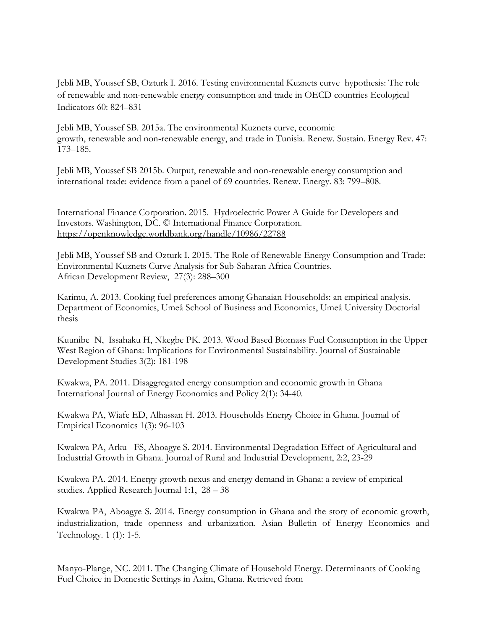Jebli MB, Youssef SB, Ozturk I. 2016. Testing environmental Kuznets curve hypothesis: The role of renewable and non-renewable energy consumption and trade in OECD countries Ecological Indicators 60: 824–831

Jebli MB, Youssef SB. 2015a. The environmental Kuznets curve, economic growth, renewable and non-renewable energy, and trade in Tunisia. Renew. Sustain. Energy Rev. 47: 173–185.

Jebli MB, Youssef SB 2015b. Output, renewable and non-renewable energy consumption and international trade: evidence from a panel of 69 countries. Renew. Energy. 83: 799–808.

International Finance Corporation. 2015. Hydroelectric Power A Guide for Developers and Investors. Washington, DC. © International Finance Corporation. <https://openknowledge.worldbank.org/handle/10986/22788>

Jebli MB, Youssef SB and Ozturk I. 2015. The Role of Renewable Energy Consumption and Trade: Environmental Kuznets Curve Analysis for Sub-Saharan Africa Countries. African Development Review, 27(3): 288–300

Karimu, A. 2013. Cooking fuel preferences among Ghanaian Households: an empirical analysis. Department of Economics, Umeå School of Business and Economics, Umeå University Doctorial thesis

Kuunibe N, Issahaku H, Nkegbe PK. 2013. Wood Based Biomass Fuel Consumption in the Upper West Region of Ghana: Implications for Environmental Sustainability. Journal of Sustainable Development Studies 3(2): 181-198

Kwakwa, PA. 2011. Disaggregated energy consumption and economic growth in Ghana International Journal of Energy Economics and Policy 2(1): 34-40.

Kwakwa PA, Wiafe ED, Alhassan H. 2013. Households Energy Choice in Ghana. Journal of Empirical Economics 1(3): 96-103

Kwakwa PA, Arku FS, Aboagye S. 2014. Environmental Degradation Effect of Agricultural and Industrial Growth in Ghana. Journal of Rural and Industrial Development, 2:2, 23-29

Kwakwa PA. 2014. Energy-growth nexus and energy demand in Ghana: a review of empirical studies. Applied Research Journal 1:1, 28 – 38

Kwakwa PA, Aboagye S. 2014. Energy consumption in Ghana and the story of economic growth, industrialization, trade openness and urbanization. Asian Bulletin of Energy Economics and Technology. 1 (1): 1-5.

Manyo-Plange, NC. 2011. The Changing Climate of Household Energy. Determinants of Cooking Fuel Choice in Domestic Settings in Axim, Ghana. Retrieved from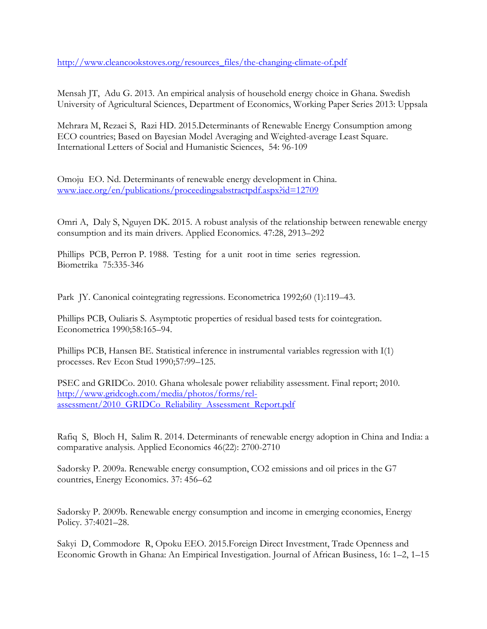[http://www.cleancookstoves.org/resources\\_files/the-changing-climate-of.pdf](http://www.cleancookstoves.org/resources_files/the-changing-climate-of.pdf) 

Mensah JT, Adu G. 2013. An empirical analysis of household energy choice in Ghana. Swedish University of Agricultural Sciences, Department of Economics, Working Paper Series 2013: Uppsala

Mehrara M, Rezaei S, Razi HD. 2015.Determinants of Renewable Energy Consumption among ECO countries; Based on Bayesian Model Averaging and Weighted-average Least Square. International Letters of Social and Humanistic Sciences, 54: 96-109

Omoju EO. Nd. Determinants of renewable energy development in China. [www.iaee.org/en/publications/proceedingsabstractpdf.aspx?id=12709](http://www.iaee.org/en/publications/proceedingsabstractpdf.aspx?id=12709)

Omri A, Daly S, Nguyen DK. 2015. A robust analysis of the relationship between renewable energy consumption and its main drivers. Applied Economics. 47:28, 2913–292

Phillips PCB, Perron P. 1988. Testing for a unit root in time series regression. Biometrika 75:335-346

Park JY. Canonical cointegrating regressions. Econometrica 1992;60 (1):119–43.

Phillips PCB, Ouliaris S. Asymptotic properties of residual based tests for cointegration. Econometrica 1990;58:165–94.

Phillips PCB, Hansen BE. Statistical inference in instrumental variables regression with I(1) processes. Rev Econ Stud 1990;57:99–125.

PSEC and GRIDCo. 2010. Ghana wholesale power reliability assessment. Final report; 2010. [http://www.gridcogh.com/media/photos/forms/rel](http://www.gridcogh.com/media/photos/forms/rel-assessment/2010_GRIDCo_Reliability_Assessment_Report.pdf)[assessment/2010\\_GRIDCo\\_Reliability\\_Assessment\\_Report.pdf](http://www.gridcogh.com/media/photos/forms/rel-assessment/2010_GRIDCo_Reliability_Assessment_Report.pdf)

Rafiq S, Bloch H, Salim R. 2014. Determinants of renewable energy adoption in China and India: a comparative analysis. Applied Economics 46(22): 2700-2710

Sadorsky P. 2009a. Renewable energy consumption, CO2 emissions and oil prices in the G7 countries, Energy Economics. 37: 456–62

Sadorsky P. 2009b. Renewable energy consumption and income in emerging economies, Energy Policy. 37:4021–28.

Sakyi D, Commodore R, Opoku EEO. 2015.Foreign Direct Investment, Trade Openness and Economic Growth in Ghana: An Empirical Investigation. Journal of African Business, 16: 1–2, 1–15